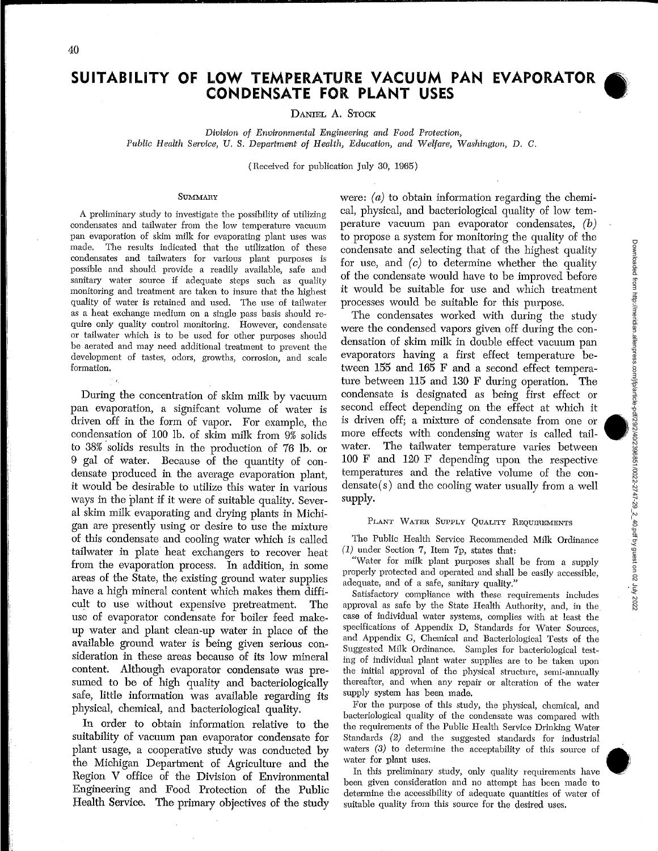# **SUITABILITY OF LOW TEMPERATURE VACUUM PAN EVAPORATOR** • **CONDENSATE FOR PLANT USES**

DANIEL A. STOCK

*Division of Environmental Engineering and Food Protection, Public Health Service, U.* S. *Department· of Health, Education, and Welfare, Washington,* D. *C.* 

(Received for publication July 30, 1965)

# **SUMMARY**

A preliminary study to investigate the possibility of utilizing condensates and tailwater from the low temperature vacuum pan evaporation of skim milk for evaporating plant uses was made. The results indicated that the utilization of these condensates and tailwaters for various plant purposes is possible and should provide a readily available, safe and sanitary water source if adequate steps such as quality monitoring and treatment are taken to insure that the highest quality of water is retained and used. The use of tailwater as a heat exchange medium on a single pass basis should require only quality control monitoring. However, condensate or tailwater which is to be used for other purposes should be aerated and may need additional treatment to prevent the development of tastes, odors, growths, corrosion, and scale formation.

During the concentration of skim milk by vacuum pan evaporation, a signifcant volume of water is driven off in the form of vapor. For example, the condensation of 100 lb. of skim milk from  $9\%$  solids to 38% ·solids results in the production of 76 lb. or 9 gal of water. Because of the quantity of condensate produced in the average evaporation plant, it would be desirable to utilize this water in various ways in the plant if it were of suitable quality. Several skim milk evaporating and drying plants in Michigan are presently using or desire to use the mixture of this condensate and cooling water which is called tailwater in plate heat exchangers to recover heat from the evaporation process. In addition, in some areas of the State, the existing ground water supplies have a high mineral content which makes them difficult to use without expensive pretreatment. The use of evaporator condensate for boiler feed makeup water and plant clean-up water in place of the available ground water is being given serious consideration in these areas because of its low mineral content. Although evaporator condensate was presumed to be of high quality and bacteriologically safe, little information was available regarding its physical, chemical, and bacteriological quality.

In order to obtain information relative to the suitability of vacuum pan evaporator condensate for plant usage, a cooperative study was conducted by the Michigan Department of Agriculture and the Region V office of the Division of Environmental Engineering and Food Protection of the Public Health Service. The primary objectives of the study

were:  $(a)$  to obtain information regarding the chemical, physical, and bacteriological quality of low temperature vacuum pan evaporator condensates, (b) to propose a system for monitoring the quality of the condensate and selecting that of the highest quality for use, and *(c)* to determine whether the quality of the condensate would have to be improved before it would be suitable for use and which treatment processes would be suitable for this purpose.

The condensates worked with during the study were the condensed vapors given off during the condensation of skim milk in double effect vacuum pan evaporators having a first effect temperature between 155 and 165 F and a second effect temperature between 115 and 130 F during operation. The condensate is designated as being first effect or second effect depending on the effect at which it is driven off; a mixture of condensate from one or more effects with condensing water is called tailwater. The tailwater temperature varies between 100 F and 120 F depending upon the respective temperatures and the relative volume of the con $densate(s)$  and the cooling water usually from a well supply.

### PLANT WATER SUPPLY QUALITY REQUIREMENTS

The Public Health Service Recommended Milk Ordinance (1) under Section 7, Item 7p, states that:

"Water for milk plant purposes shall be from a supply properly protected and operated and shall be easily accessible, adequate, and of a safe, sanitary quality."

Satisfactory compliance with these requirements includes approval as safe by the State Health Authority, and, in the case of individual water systems, complies with at least the specifications of Appendix D, Standards for Water Sources, and Appendix G, Chemical and Bacteriological Tests of the Suggested Milk Ordinance. Samples for bacteriological testing of individual plant water supplies are to be taken upon the initial approval of the physical structure, semi-annually thereafter, and when any repair or alteration of the water supply system has been made.

For the purpose of this study, the physical, chemical, and bacteriological quality of the condensate was compared with the requirements of the Public Health Service Drinking Water Standards (2) and the suggested standards for industrial waters (3) to determine the acceptability of this source of water for plant uses.

In this preliminary study, only quality requirements have been given consideration and no attempt has been made to determine the accessibility of adequate quantities of water of suitable quality from this source for the desired uses.

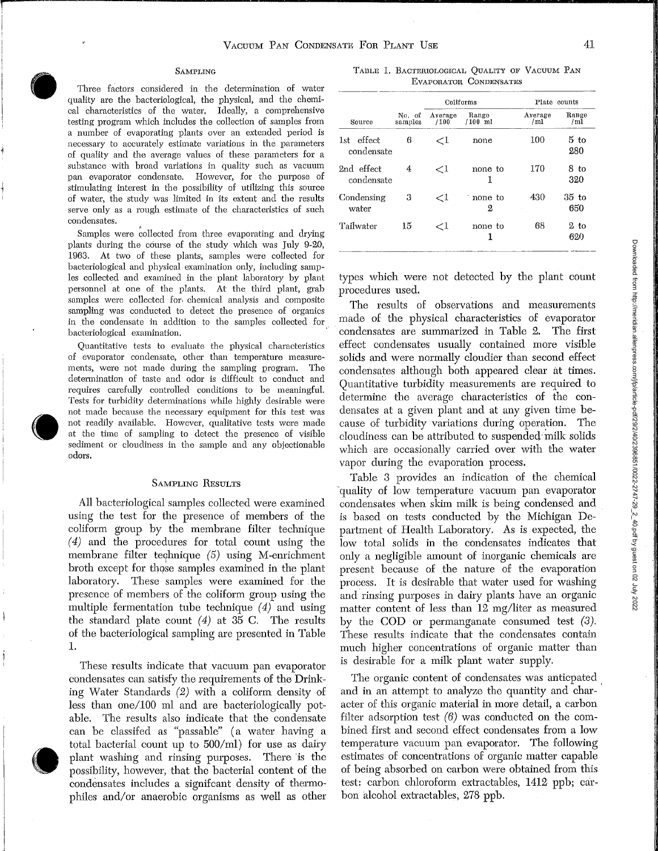----···---.-----------------------------------------------------...

### SAMPLING

TABLE 1. BACTERIOLOGICAL QUALITY OF VACUUM PAN EVAPORATOR CONDENSATES

 $\bigcup$   $\begin{array}{c} \begin{array}{c} \text{qu} \\ \text{cal} \end{array} \\ \text{tes} \end{array}$ Three factors considered in the determination of water quality are the bacteriological, the physical, and the chemical characteristics of the water. Ideally, a comprehensive testing program which includes the collection of samples from a number of evaporating plants over an extended period is necessary to accurately estimate variations in the parameters of quality and the average values of these parameters for a substance with broad variations in quality such as vacuum pan evaporator condensate. However, for the purpose of stimulating interest in the possibility of utilizing this source of water, the study was limited in its extent and the results serve only as a rough estimate of the characteristics of such condensates.

> Samples were collected from three evaporating and drying plants during the course of the study which was July 9-20, 1963. At two of these plants, samples were collected for bacteriological and physical examination only, including samples collected and examined in the plant laboratory by plant personnel at one of the plants. At the third plant, grab samples were collected for. chemical analysis and composite sampling was conducted to detect the presence of organics in the condensate in addition to the samples collected for bacteriological examination.

Te not<br>not at at second<br>odd Quantitative tests to evaluate the physical characteristics of evaporator condensate, other than temperature measurements, were not made during the sampling program. The determination of taste and odor is difficult to conduct and requires carefully controlled conditions to be meaningful. Tests for turbidity determinations while highly desirable were not made because the necessary equipment for this test was not readily available. However, qualitative tests were made at the time of sampling to detect the presence of visible sediment or cloudiness in the sample and any objectionable odors.

# SAMPLING RESULTS

All bacteriological samples collected were examined using the test for the presence of members of the coliform group by the membrane filter technique  $(4)$  and the procedures for total count using the membrane filter technique  $(5)$  using M-enrichment broth except for those samples examined in the plant laboratory. These samples were examined for the presence of members of the coliform group using the multiple fermentation tube technique (4) and using the standard plate count  $(4)$  at 35 C. The results of the bacteriological sampling are presented in Table 1.

 $\bigodot$  and  $\bigodot$  and  $\bigodot$  and  $\bigodot$  and  $\bigodot$  and  $\bigodot$  and  $\bigodot$  and  $\bigodot$  and  $\bigodot$  and  $\bigodot$  and  $\bigodot$  and  $\bigodot$  and  $\bigodot$  and  $\bigodot$  and  $\bigodot$  and  $\bigodot$  and  $\bigodot$  and  $\bigodot$  and  $\bigodot$  and  $\bigodot$  and These results indicate that vacuum pan evaporator condensates can satisfy the requirements of the Drinking Water Standards (2) with a coliform density of less than one/100 ml and are bacteriologically potable. The results also indicate that the condensate can be classifed as "passable" (a water having a total bacterial count up to  $500/ml$  for use as dairy plant washing and rinsing purposes. There is the possibility, however, that the bacterial content of the condensates includes a signifcant density of thermophiles and/or anaerobic organisms as well as other

|                             |                   |                 | Coliforms          | Plate counts   |                |  |
|-----------------------------|-------------------|-----------------|--------------------|----------------|----------------|--|
| Source                      | No. of<br>samples | Average<br>/100 | Range<br>$/100$ ml | Average<br>/ml | Range<br>/m1   |  |
| effect<br>1st<br>condensate | 6                 | ${<}1$          | none               | 100            | $5$ to<br>280  |  |
| 2nd effect<br>condensate    | 4                 | ${<}1$          | none to<br>1       | 170            | 8 to<br>320    |  |
| Condensing<br>water         | 3                 | $\leq$ 1        | none to<br>2       | 430            | $35$ to<br>650 |  |
| Tailwater                   | 15                | ${<}1$          | none to<br>1       | 68             | $2$ to<br>620  |  |

types which were not detected by the plant count procedures used.

The results of observations and measurements made of the physical characteristics of evaporator condensates are summarized in Table 2. The first effect condensates usually contained more visible solids and were normally cloudier than second effect condensates although both appeared clear at times. Quantitative turbidity measurements are required to determine the average characteristics of the condensates at a given plant and at any given time because of turbidity variations during operation. The cloudiness can be attributed to suspended·milk solids which are occasionally carried over with the water vapor during the evaporation process.

Table 3 provides an indication of the chemical -quality of low temperature vacuum pan evaporator condensates when skim milk is being condensed and is based on tests conducted by the Michigan Department of Health Laboratory. As is expected, the low total solids in the condensates indicates that only a negligible amount of inorganic chemicals are present because of the nature of the evaporation process. It is desirable that water used for washing and rinsing purposes in dairy plants have an organic matter content of less than 12 mg/liter as measured by the COD or permanganate consumed test  $(3)$ . These results indicate that the condensates contain much higher concentrations of organic matter than is desirable for a milk plant water supply.

The organic content of condensates was anticpated and in an attempt to analyze the quantity and character of this organic material in more detail, a carbon filter adsorption test  $(6)$  was conducted on the combined first and second effect condensates from a low temperature vacuum pan evaporator. The following estimates of concentrations of organic matter capable of being absorbed on carbon were obtained from this test: cmbon chloroform extractables, 1412 ppb; carbon alcohol extractables, 278 ppb.

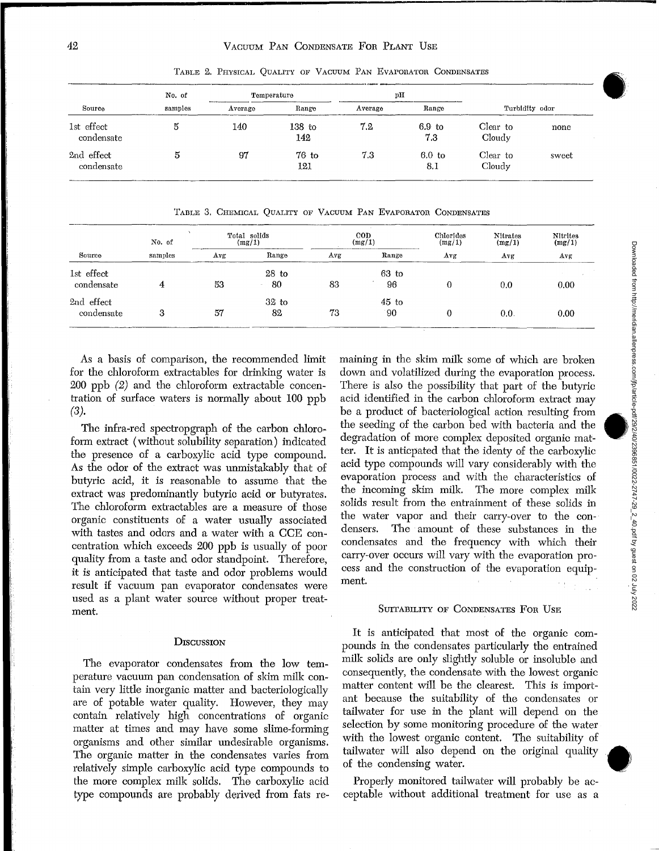| Source                   | No. of<br>samples | Temperature |                | pН      |                          |                    |       |
|--------------------------|-------------------|-------------|----------------|---------|--------------------------|--------------------|-------|
|                          |                   | Average     | Range          | Average | Range                    | Turbidity odor     |       |
| 1st effect<br>condensate | 5                 | 140         | 138 to<br>142  | 7.2     | 6.9 <sub>to</sub><br>7.3 | Clear to<br>Cloudy | none  |
| 2nd effect<br>condensate | 5                 | 97          | $76$ to<br>121 | 7.3     | 6.0 <sub>to</sub><br>8.1 | Clear to<br>Cloudy | sweet |

TABLE 2. PHYSICAL QUALITY OF VACUUM PAN EVAPORATOR CONDENSATES

TABLE 3. CHEMICAL QUALITY OF VACUUM PAN EVAPORATOR CONDENSATES

| Source                   | No. of<br>samples | Total solids<br>(mg/1) |               | $_{\rm{cop}}$<br>(mg/1) |                | Chlorides<br>(mg/1) | Nitrates<br>(mg/1) | <b>Nitrites</b><br>(mg/1) |
|--------------------------|-------------------|------------------------|---------------|-------------------------|----------------|---------------------|--------------------|---------------------------|
|                          |                   | Avg                    | Range         | Avg                     | Range          | Avg                 | Avg                | Avg                       |
| 1st effect<br>condensate |                   | 53                     | $28$ to<br>80 | 83                      | $63$ to<br>96  | 0                   | 0.0                | 0.00                      |
| 2nd effect<br>condensate | 3                 | 57                     | $32$ to<br>82 | 73                      | $45$ to<br>-90 | 0                   | 0.0.               | 0.00                      |

As a basis of comparison, the recommended limit for the chloroform extractables for drinking water is 200 ppb (2) and the chloroform extractable concentration of surface waters is normally about 100 ppb (3).

The infra-red spectropgraph of the carbon chloroform extract (without solubility separation) indicated the presence of a carboxylic acid type compound. As the odor of the extract was unmistakably that of butyric acid, it is reasonable to assume that the extract was predominantly butyric acid or butyrates. The chloroform extractables are a measure of those organic constituents of a water usually associated with tastes and odors and a water with a CCE concentration which exceeds 200 ppb is usually of poor quality from a taste and odor standpoint. Therefore, it is anticipated that taste and odor problems would result if vacuum pan evaporator condensates were used as a plant water source without proper treatment.

# **DISCUSSION**

The evaporator condensates from the low temperature vacuum pan condensation of skim milk contain very little inorganic matter and bacteriologically are of potable water quality. However, they may contain relatively high concentrations of organic matter at times and may have some slime-forming organisms and other similar undesirable organisms. The organic matter in the condensates varies from relatively simple carboxylic acid type compounds to the more complex milk solids. The carboxylic acid type compounds are probably derived from fats re-

maining in the skim milk some of which are broken down and volatilized during the evaporation process. There is also the possibility that part of the butyric Fixed is also are positively diate part of the bacylic<br>acid identified in the carbon chloroform extract may<br>be a product of bacteriological action resulting from<br>the seeding of the carbon bed with bacteria and the the seeding of the carbon bed with bacteria and the degradation of more complex deposited organic matter. It is anticpated that the identy of the carboxylic acid type compounds will vary considerably with the evaporation process and with the characteristics of the incoming skim milk. The more complex milk solids result from the entrainment of these solids in the water vapor and their carry-over to the condensers. The amount of these substances in the condensates and the frequency with which their carry-over occurs will vary with the evaporation process and the construction of the evaporation equipment.

# SUITABILITY OF CONDENSATES FOR USE

It is anticipated that most of the organic compounds in the condensates particularly the entrained milk solids are only slightly soluble or insoluble and consequently, the condensate with the lowest organic matter content will be the clearest. This is important because the suitability of the condensates or tailwater for use in the plant will depend on the selection by some monitoring procedure of the water with the lowest organic content. The suitability of tailwater will also depend on the original quality • of the condensing water.

Properly monitored tailwater will probably be acceptable without additional treatment for use as a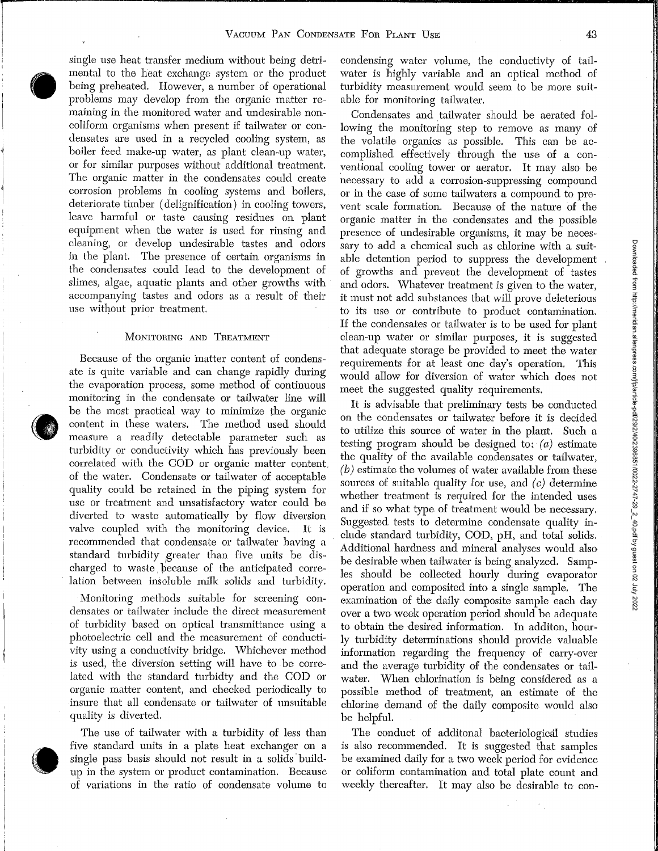$\bigodot$   $\bigodot$   $\bigodot$   $\bigodot$   $\bigodot$   $\bigodot$   $\bigodot$   $\bigodot$   $\bigodot$   $\bigodot$   $\bigodot$   $\bigodot$   $\bigodot$   $\bigodot$   $\bigodot$   $\bigodot$   $\bigodot$   $\bigodot$   $\bigodot$   $\bigodot$   $\bigodot$   $\bigodot$   $\bigodot$   $\bigodot$   $\bigodot$   $\bigodot$   $\bigodot$   $\bigodot$   $\bigodot$   $\bigodot$   $\bigodot$   $\bigod$ single use heat transfer medium without being detrimental to the heat exchange system or the product being preheated. However, a number of operational problems may develop from the organic matter remaining in the monitored water and undesirable noncoliform organisms when present if tailwater or condensates are used in a recycled cooling system, as boiler feed make-up water, as plant clean-up water, or for similar purposes without additional treatment. The organic matter in the condensates could create corrosion problems in cooling systems and boilers, deteriorate timber ( delignification) in cooling towers, leave harmful or taste causing residues on plant equipment when the water is used for rinsing and cleaning, or develop undesirable tastes and odors in the plant. The presence of certain organisms in the condensates could lead to the development of slimes, algae, aquatic plants and other growths with accompanying tastes and odors as a result of their use without prior treatment.

# MoNITORING AND TREATMENT

 $\bigodot$   $\begin{array}{c} \mathbf{e}^{\text{max}} \\ \mathbf{e}^{\text{max}} \\ \mathbf{e}^{\text{max}} \\ \mathbf{e}^{\text{max}} \end{array}$ Because of the organic matter content of condensate is quite variable and can change rapidly during the evaporation process, some method of continuous monitoring in the condensate or tailwater line will be the most practical way to minimize the organic content in these waters. The method used should measure a readily detectable parameter such as turbidity or conductivity which has previously been correlated with the COD or organic matter content. of the water. Condensate or tailwater of acceptable quality could be retained in the piping system for use or treatment and unsatisfactory water could be diverted to waste automatically by flow diversion valve coupled with the monitoring device. It is recommended that condensate or tailwater having a standard turbidity greater than five units be discharged to waste. because of the anticipated correlation between insoluble milk solids and turbidity.

> Monitoring methods suitable for screening condensates or tailwater include the direct measurement of turbidity based on optical transmittance using a photoelectric cell and the measurement of conductivity using a conductivity bridge. Whichever method is used, the diversion setting will have to be correlated with the standard turbidty and the COD or organic matter content, and checked periodically to insure that all condensate or tailwater of unsuitable quality is diverted.

 $\bigcirc$  is  $\bigcirc$  in the set of  $\bigcirc$ The use of tailwater with a turbidity of less than five standard units in a plate heat exchanger on a single pass basis should not result in a solids buildup in the system or product contamination. Because of variations in the ratio of condensate volume to

condensing water volume, the conductivty of tailwater is highly variable and an optical method of turbidity measurement would seem to be more suitable for monitoring tailwater.

Condensates and tailwater should be aerated following the monitoring step to remove as many of the volatile organics as possible. This can be accomplished effectively through the use of a conventional cooling tower or aerator. It may also be necessary to add a corrosion-suppressing compound or in the case of some tailwaters a compound to prevent scale formation. Because of the nature of the organic matter in the condensates and the possible presence of undesirable organisms, it may be necessary to add a chemical such as chlorine with a suitable detention period to suppress the development of growths and prevent the development of tastes and odors. Whatever treatment is given to the water, it must not add substances that will prove deleterious to its use or contribute to product contamination. If the condensates or tailwater is to be used for plant clean-up water or similar purposes, it is suggested that adequate storage be provided to meet the water requirements for at least one day's operation. This would allow for diversion of water which does not meet the suggested quality requirements.

It is advisable that preliminary tests be conducted on the condensates or tailwater before it is decided to utilize this source of water in the plant. Such a testing program should be designed to: (a) estimate the quality of the available condensates or tailwater,  $(b)$  estimate the volumes of water available from these sources of suitable quality for use, and *(c)* determine whether treatment is required for the intended uses and if so what type of treatment would be necessary. Suggested tests to determine condensate quality include standard tmbidity, COD, pH, and total solids. Additional hardness and mineral analyses would also be desirable when tailwater is being analyzed. Samples should be collected hourly during evaporator operation and composited into a single sample. The examination of the daily composite sample each day over a two week operation period should be adequate to obtain the desired information. In additon, hourly tmbidity determinations should provide valuable information regarding the frequency of carry-over and the average turbidity of the condensates or tailwater. When chlorination is being considered as a possible method of treatment, an estimate of the chlorine demand of the daily composite would also be helpful.

The conduct of additonal bacteriological studies is also recommended. It is suggested that samples be examined daily for a two week period for evidence or coliform contamination and total plate count and weekly thereafter. It may also be desirable to con-

; \_l